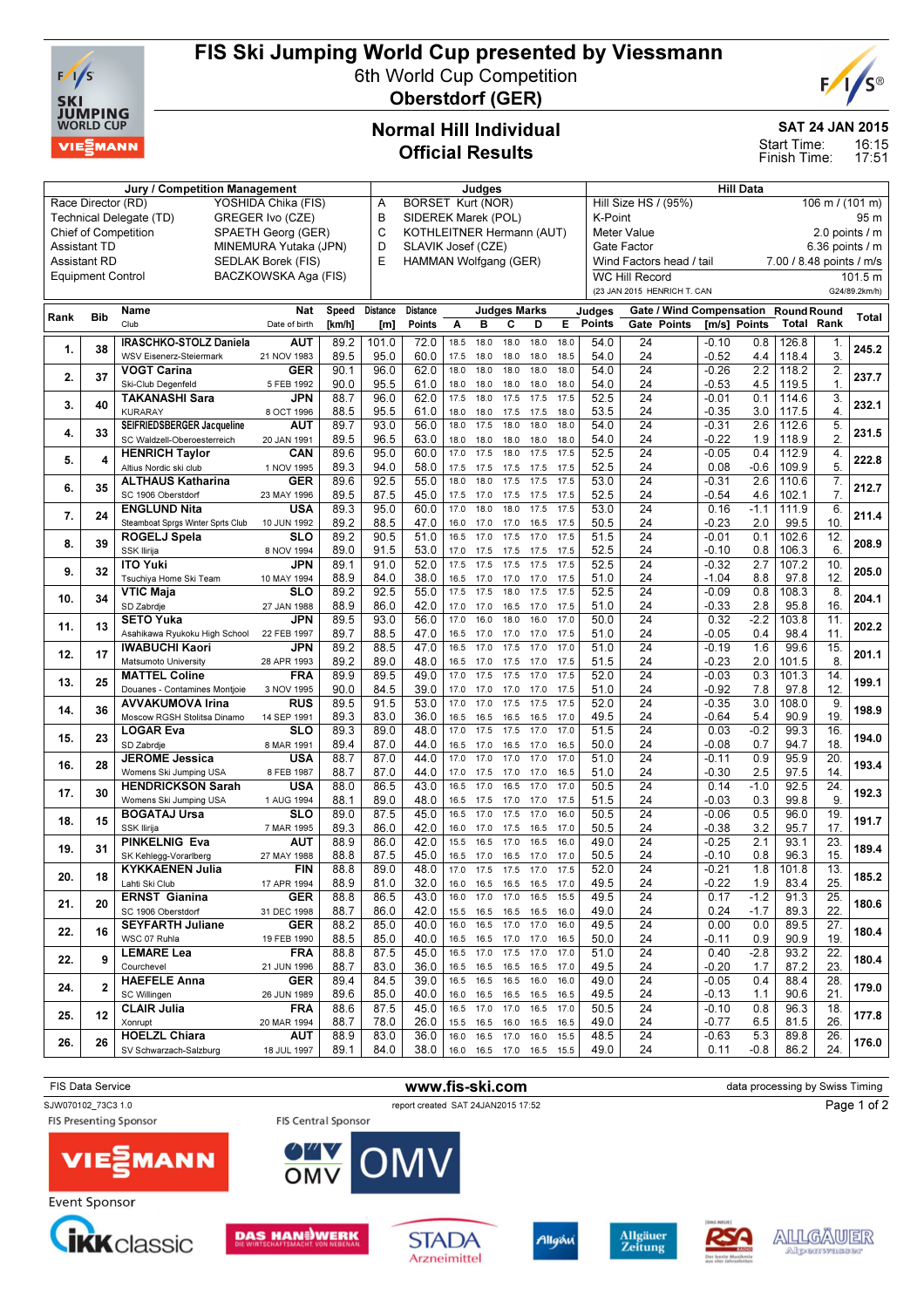

# FIS Ski Jumping World Cup presented by Viessmann

6th World Cup Competition



Oberstdorf (GER)

## Normal Hill Individual Official Results

#### SAT 24 JAN 2015

16:15 Start Time:

17:51 Finish Time:

|                                           |              | Judges                            |                      |        |                 |                                                                               |           |                | <b>Hill Data</b>         |           |      |                 |                                                   |              |        |                    |                  |                |  |
|-------------------------------------------|--------------|-----------------------------------|----------------------|--------|-----------------|-------------------------------------------------------------------------------|-----------|----------------|--------------------------|-----------|------|-----------------|---------------------------------------------------|--------------|--------|--------------------|------------------|----------------|--|
| Race Director (RD)<br>YOSHIDA Chika (FIS) |              |                                   |                      |        |                 | <b>BORSET Kurt (NOR)</b><br>A                                                 |           |                |                          |           |      |                 | Hill Size HS / (95%)<br>$106 \text{ m}$ / (101 m) |              |        |                    |                  |                |  |
|                                           |              | Technical Delegate (TD)           | GREGER Ivo (CZE)     |        | B               | SIDEREK Marek (POL)                                                           |           |                |                          |           |      | K-Point<br>95 m |                                                   |              |        |                    |                  |                |  |
|                                           |              | <b>Chief of Competition</b>       | SPAETH Georg (GER)   |        | C               | KOTHLEITNER Hermann (AUT)                                                     |           |                |                          |           |      |                 | <b>Meter Value</b>                                |              |        |                    |                  | 2.0 points / m |  |
| MINEMURA Yutaka (JPN)<br>Assistant TD     |              |                                   |                      |        |                 | SLAVIK Josef (CZE)<br>Gate Factor                                             |           |                |                          |           |      |                 |                                                   |              |        | 6.36 points $/$ m  |                  |                |  |
| <b>Assistant RD</b>                       |              |                                   | SEDLAK Borek (FIS)   |        | D<br>E          | HAMMAN Wolfgang (GER)<br>Wind Factors head / tail<br>7.00 / 8.48 points / m/s |           |                |                          |           |      |                 |                                                   |              |        |                    |                  |                |  |
|                                           |              |                                   |                      |        |                 |                                                                               |           |                |                          |           |      |                 |                                                   |              |        |                    |                  |                |  |
| <b>Equipment Control</b>                  |              |                                   | BACZKOWSKA Aga (FIS) |        |                 |                                                                               |           |                |                          |           |      |                 | <b>WC Hill Record</b>                             |              |        |                    |                  | 101.5 m        |  |
|                                           |              |                                   |                      |        |                 |                                                                               |           |                |                          |           |      |                 | (23 JAN 2015 HENRICH T. CAN                       |              |        |                    |                  | G24/89.2km/h)  |  |
|                                           |              | Name                              | <b>Nat</b>           | Speed  | <b>Distance</b> | <b>Distance</b>                                                               |           |                | <b>Judges Marks</b>      |           |      | Judges          | Gate / Wind Compensation                          |              |        | <b>Round Round</b> |                  |                |  |
| Rank                                      | <b>Bib</b>   | Club                              | Date of birth        | [km/h] | [m]             | Points                                                                        | A         | B              | C                        | D         | E.   | <b>Points</b>   | Gate Points                                       | [m/s] Points |        | <b>Total Rank</b>  |                  | Total          |  |
|                                           |              |                                   |                      |        |                 |                                                                               |           |                |                          |           |      |                 |                                                   |              |        |                    |                  |                |  |
| 1.                                        | 38           | <b>IRASCHKO-STOLZ Daniela</b>     | <b>AUT</b>           | 89.2   | 101.0           | 72.0                                                                          | 18.5      | 18.0           | 18.0                     | 18.0      | 18.0 | 54.0            | 24                                                | $-0.10$      | 0.8    | 126.8              | 1.               | 245.2          |  |
|                                           |              | WSV Eisenerz-Steiermark           | 21 NOV 1983          | 89.5   | 95.0            | 60.0                                                                          | 17.5      | 18.0           | 18.0                     | 18.0      | 18.5 | 54.0            | 24                                                | $-0.52$      | 4.4    | 118.4              | 3.               |                |  |
| 2.                                        | 37           | <b>VOGT Carina</b>                | <b>GER</b>           | 90.1   | 96.0            | 62.0                                                                          | 18.0      | 18.0           | 18.0                     | 18.0      | 18.0 | 54.0            | 24                                                | $-0.26$      | 2.2    | 118.2              | $\overline{2}$   | 237.7          |  |
|                                           |              | Ski-Club Degenfeld                | 5 FEB 1992           | 90.0   | 95.5            | 61.0                                                                          | 18.0      | 18.0           | 18.0                     | 18.0      | 18.0 | 54.0            | 24                                                | $-0.53$      | 4.5    | 119.5              | 1.               |                |  |
|                                           |              | <b>TAKANASHI Sara</b>             | JPN                  | 88.7   | 96.0            | 62.0                                                                          | 17.5      | 18.0           | 17.5                     | 17.5      | 17.5 | 52.5            | 24                                                | $-0.01$      | 0.1    | 114.6              | 3.               |                |  |
| 3.                                        | 40           | <b>KURARAY</b>                    | 8 OCT 1996           | 88.5   | 95.5            | 61.0                                                                          | 18.0      | 18.0           | 17.5                     | 17.5      | 18.0 | 53.5            | 24                                                | $-0.35$      | 3.0    | 117.5              | 4.               | 232.1          |  |
|                                           |              | SEIFRIEDSBERGER Jacqueline        | AUT                  | 89.7   | 93.0            | 56.0                                                                          | 18.0      | 17.5           | 18.0                     | 18.0      | 18.0 | 54.0            | 24                                                | $-0.31$      | 2.6    | 112.6              | 5.               |                |  |
| 4.                                        | 33           | SC Waldzell-Oberoesterreich       | 20 JAN 1991          | 89.5   | 96.5            | 63.0                                                                          | 18.0      | 18.0           | 18.0                     | 18.0      | 18.0 | 54.0            | 24                                                | $-0.22$      | 1.9    | 118.9              | 2.               | 231.5          |  |
|                                           |              |                                   |                      | 89.6   | 95.0            | 60.0                                                                          | 17.0      | 17.5           | 18.0                     | 17.5      | 17.5 | 52.5            | 24                                                | $-0.05$      |        | 112.9              | $\overline{4}$ . |                |  |
| 5.                                        | 4            | <b>HENRICH Taylor</b>             | <b>CAN</b>           |        |                 |                                                                               |           |                |                          |           |      |                 |                                                   |              | 0.4    |                    |                  | 222.8          |  |
|                                           |              | Altius Nordic ski club            | 1 NOV 1995           | 89.3   | 94.0            | 58.0                                                                          | 17.5      | 17.5           | 17.5                     | 17.5      | 17.5 | 52.5            | 24                                                | 0.08         | $-0.6$ | 109.9              | 5.               |                |  |
| 6.                                        | 35           | <b>ALTHAUS Katharina</b>          | <b>GER</b>           | 89.6   | 92.5            | 55.0                                                                          | 18.0      | 18.0           | 17.5                     | 17.5      | 17.5 | 53.0            | 24                                                | $-0.31$      | 2.6    | 110.6              | 7.               | 212.7          |  |
|                                           |              | SC 1906 Oberstdorf                | 23 MAY 1996          | 89.5   | 87.5            | 45.0                                                                          | 17.5      | 17.0           | 17.5                     | 17.5      | 17.5 | 52.5            | 24                                                | $-0.54$      | 4.6    | 102.1              | 7.               |                |  |
| 7.                                        | 24           | <b>ENGLUND Nita</b>               | USA                  | 89.3   | 95.0            | 60.0                                                                          | 17.0      | 18.0           | 18.0                     | 17.5      | 17.5 | 53.0            | $\overline{24}$                                   | 0.16         | $-1.1$ | 111.9              | 6                | 211.4          |  |
|                                           |              | Steamboat Sprgs Winter Sprts Club | 10 JUN 1992          | 89.2   | 88.5            | 47.0                                                                          | 16.0      | 17.0           | 17.0                     | 16.5      | 17.5 | 50.5            | 24                                                | $-0.23$      | 2.0    | 99.5               | 10               |                |  |
|                                           |              | ROGELJ Spela                      | <b>SLO</b>           | 89.2   | 90.5            | 51.0                                                                          | 16.5      | 17.0           | 17.5                     | 17.0      | 17.5 | 51.5            | 24                                                | $-0.01$      | 0.1    | 102.6              | 12.              |                |  |
| 8.                                        | 39           | <b>SSK Ilirija</b>                | 8 NOV 1994           | 89.0   | 91.5            | 53.0                                                                          | 17.0      | 17.5           | 17.5                     | 17.5      | 17.5 | 52.5            | 24                                                | -0.10        | 0.8    | 106.3              | 6.               | 208.9          |  |
|                                           |              | <b>ITO Yuki</b>                   | JPN                  | 89.1   | 91.0            | 52.0                                                                          | 17.5      | 17.5           | 17.5                     | 17.5      | 17.5 | 52.5            | $\overline{24}$                                   | $-0.32$      | 2.7    | 107.2              | 10.              |                |  |
| 9.                                        | 32           | Tsuchiya Home Ski Team            | 10 MAY 1994          | 88.9   | 84.0            | 38.0                                                                          | 16.5      | 17.0           | 17.0                     | 17.0      | 17.5 | 51.0            | 24                                                | $-1.04$      | 8.8    | 97.8               | 12               | 205.0          |  |
|                                           |              |                                   | <b>SLO</b>           |        |                 |                                                                               | 17.5      | 17.5           | 18.0                     | 17.5      | 17.5 | 52.5            | $\overline{24}$                                   | $-0.09$      |        |                    | 8                |                |  |
| 10.                                       | 34           | <b>VTIC Maja</b>                  |                      | 89.2   | 92.5            | 55.0                                                                          |           |                |                          |           |      |                 |                                                   |              | 0.8    | 108.3              |                  | 204.1          |  |
|                                           |              | SD Zabrdje                        | 27 JAN 1988          | 88.9   | 86.0            | 42.0                                                                          | 17.0      | 17.0           | 16.5                     | 17.0      | 17.5 | 51.0            | 24                                                | $-0.33$      | 2.8    | 95.8               | 16               |                |  |
| 11.                                       | 13           | <b>SETO Yuka</b>                  | JPN                  | 89.5   | 93.0            | 56.0                                                                          | 17.0      | 16.0           | 18.0                     | 16.0      | 17.0 | 50.0            | 24                                                | 0.32         | $-2.2$ | 103.8              | 11.              | 202.2          |  |
|                                           |              | Asahikawa Ryukoku High School     | 22 FEB 1997          | 89.7   | 88.5            | 47.0                                                                          | 16.5      | 17.0           | 17.0                     | 17.0      | 17.5 | 51.0            | 24                                                | -0.05        | 0.4    | 98.4               | 11               |                |  |
| 12.                                       | 17           | <b>IWABUCHI Kaori</b>             | JPN                  | 89.2   | 88.5            | 47.0                                                                          | 16.5      | 17.0           | 17.5                     | 17.0      | 17.0 | 51.0            | $\overline{24}$                                   | $-0.19$      | 1.6    | 99.6               | 15.              |                |  |
|                                           |              | Matsumoto University              | 28 APR 1993          | 89.2   | 89.0            | 48.0                                                                          | 16.5      | 17.0           | 17.5                     | 17.0      | 17.5 | 51.5            | 24                                                | $-0.23$      | 2.0    | 101.5              | 8                | 201.1          |  |
|                                           |              | <b>MATTEL Coline</b>              | FRA                  | 89.9   | 89.5            | 49.0                                                                          | 17.0      | 17.5           | 17.5                     | 17.0      | 17.5 | 52.0            | $\overline{24}$                                   | $-0.03$      | 0.3    | 101.3              | 14.              |                |  |
| 13.                                       | 25           | Douanes - Contamines Montjoie     | 3 NOV 1995           | 90.0   | 84.5            | 39.0                                                                          | 17.0      | 17.0           | 17.0                     | 17.0      | 17.5 | 51.0            | 24                                                | $-0.92$      | 7.8    | 97.8               | 12               | 199.1          |  |
|                                           |              | <b>AVVAKUMOVA Irina</b>           | <b>RUS</b>           | 89.5   | 91.5            | 53.0                                                                          | 17.0      | 17.0           | 17.5                     | 17.5      | 17.5 | 52.0            | 24                                                | $-0.35$      | 3.0    | 108.0              | 9.               |                |  |
| 14.                                       | 36           | Moscow RGSH Stolitsa Dinamo       | 14 SEP 1991          | 89.3   | 83.0            | 36.0                                                                          | 16.5      | 16.5           | 16.5                     | 16.5      | 17.0 | 49.5            | 24                                                | $-0.64$      | 5.4    | 90.9               | 19.              | 198.9          |  |
|                                           |              | <b>LOGAR Eva</b>                  | SLO                  | 89.3   | 89.0            | 48.0                                                                          | 17.0      | 17.5           | 17.5                     | 17.0      | 17.0 | 51.5            | $\overline{24}$                                   | 0.03         | $-0.2$ | 99.3               | 16.              |                |  |
| 15.                                       | 23           |                                   |                      |        |                 |                                                                               |           |                |                          |           |      |                 |                                                   |              |        |                    |                  | 194.0          |  |
|                                           |              | SD Zabrdje                        | 8 MAR 1991           | 89.4   | 87.0            | 44.0                                                                          | 16.5      | 17.0           | 16.5                     | 17.0      | 16.5 | 50.0            | 24                                                | $-0.08$      | 0.7    | 94.7               | 18               |                |  |
| 16.                                       | 28           | <b>JEROME Jessica</b>             | <b>USA</b>           | 88.7   | 87.0            | 44.0                                                                          | 17.0      | 17.0           | 17.0                     | 17.0      | 17.0 | 51.0            | 24                                                | $-0.11$      | 0.9    | 95.9               | 20.              | 193.4          |  |
|                                           |              | Womens Ski Jumping USA            | 8 FEB 1987           | 88.7   | 87.0            | 44.0                                                                          | 17.0      | 17.5           | 17.0                     | 17.0      | 16.5 | 51.0            | 24                                                | $-0.30$      | 2.5    | 97.5               | 14.              |                |  |
| 17.                                       | 30           | <b>HENDRICKSON Sarah</b>          | <b>USA</b>           | 88.0   | 86.5            | 43.0                                                                          | 16.5      | 17.0           | 16.5                     | 17.0      | 17.0 | 50.5            | 24                                                | 0.14         | $-1.0$ | 92.5               | $\overline{24}$  | 192.3          |  |
|                                           |              | Womens Ski Jumping USA            | 1 AUG 1994           | 88.1   | 89.0            | 48.0                                                                          | 16.5      | 17.5           | 17.0                     | 17.0      | 17.5 | 51.5            | 24                                                | $-0.03$      | 0.3    | 99.8               | 9.               |                |  |
|                                           | 15           | <b>BOGATAJ Ursa</b>               | <b>SLO</b>           | 89.0   | 87.5            | 45.0                                                                          | 16.5      | 17.0           | 17.5                     | 17.0      | 16.0 | 50.5            | $\overline{24}$                                   | $-0.06$      | 0.5    | 96.0               | 19.              |                |  |
| 18.                                       |              | <b>SSK Ilirija</b>                | 7 MAR 1995           | 89.3   | 86.0            | 42.0                                                                          | 16.0      | 17.0           | 17.5                     | 16.5      | 17.0 | 50.5            | 24                                                | $-0.38$      | 3.2    | 95.7               | 17 <sub>2</sub>  | 191.7          |  |
|                                           |              | <b>PINKELNIG Eva</b>              | AUT                  | 88.9   | 86.0            | 42.0                                                                          | 15.5      | 16.5           | 17.0                     | 16.5      | 16.0 | 49.0            | 24                                                | $-0.25$      | 2.1    | 93.1               | 23               |                |  |
| 19.                                       | 31           | SK Kehlegg-Vorarlberg             | 27 MAY 1988          | 88.8   | 87.5            | 45.0                                                                          | 16.5      | 17.0           | 16.5                     | 17.0      | 17.0 | 50.5            | 24                                                | -0.10        | 0.8    | 96.3               | 15.              | 189.4          |  |
|                                           |              | <b>KYKKAENEN Julia</b>            | <b>FIN</b>           | 88.8   | 89.0            | 48.0                                                                          |           | 17.0 17.5      | 17.5                     | 17.0      | 17.5 | 52.0            | $\overline{24}$                                   | $-0.21$      | 1.8    | 101.8              | 13.              |                |  |
| 20.                                       | 18           | Lahti Ski Club                    | 17 APR 1994          | 88.9   | 81.0            | 32.0                                                                          | 16.0      | 16.5           | 16.5                     | 16.5      | 17.0 | 49.5            | 24                                                | $-0.22$      | 1.9    | 83.4               | 25.              | 185.2          |  |
|                                           |              | <b>ERNST Gianina</b>              |                      |        |                 | 43.0                                                                          |           | 16.0 17.0      | 17.0                     | 16.5 15.5 |      | 49.5            | 24                                                | 0.17         | $-1.2$ |                    | 25.              |                |  |
| 21.                                       | 20           |                                   | GER                  | 88.8   | 86.5            |                                                                               |           |                |                          |           |      |                 |                                                   |              |        | 91.3               |                  | 180.6          |  |
|                                           |              | SC 1906 Oberstdorf                | 31 DEC 1998          | 88.7   | 86.0            | 42.0                                                                          | 15.5 16.5 |                | 16.5                     | 16.5      | 16.0 | 49.0            | 24                                                | 0.24         | $-1.7$ | 89.3               | 22.              |                |  |
| 22.                                       | 16           | <b>SEYFARTH Juliane</b>           | GER                  | 88.2   | 85.0            | 40.0                                                                          | 16.0      | 16.5           | 17.0                     | 17.0      | 16.0 | 49.5            | 24                                                | 0.00         | 0.0    | 89.5               | 27.              | 180.4          |  |
|                                           |              | WSC 07 Ruhla                      | 19 FEB 1990          | 88.5   | 85.0            | 40.0                                                                          |           | 16.5 16.5 17.0 |                          | 17.0 16.5 |      | 50.0            | 24                                                | -0.11        | 0.9    | 90.9               | 19.              |                |  |
| 22.                                       | 9            | <b>LEMARE Lea</b>                 | <b>FRA</b>           | 88.8   | 87.5            | 45.0                                                                          | 16.5 17.0 |                | 17.5                     | 17.0 17.0 |      | 51.0            | 24                                                | 0.40         | $-2.8$ | 93.2               | $\overline{22}$  | 180.4          |  |
|                                           |              | Courchevel                        | 21 JUN 1996          | 88.7   | 83.0            | 36.0                                                                          | 16.5 16.5 |                | 16.5                     | 16.5      | 17.0 | 49.5            | 24                                                | $-0.20$      | 1.7    | 87.2               | 23.              |                |  |
|                                           | $\mathbf{2}$ | <b>HAEFELE Anna</b>               | GER                  | 89.4   | 84.5            | 39.0                                                                          | 16.5      | 16.5           | 16.5                     | 16.0      | 16.0 | 49.0            | 24                                                | $-0.05$      | 0.4    | 88.4               | 28.              |                |  |
| 24.                                       |              | SC Willingen                      | 26 JUN 1989          | 89.6   | 85.0            | 40.0                                                                          | 16.0 16.5 |                | 16.5                     | 16.5 16.5 |      | 49.5            | 24                                                | $-0.13$      | 1.1    | 90.6               | 21.              | 179.0          |  |
|                                           |              | <b>CLAIR Julia</b>                | <b>FRA</b>           | 88.6   | 87.5            | 45.0                                                                          | 16.5 17.0 |                | 17.0                     | 16.5 17.0 |      | 50.5            | 24                                                | $-0.10$      | 0.8    | 96.3               | 18.              |                |  |
| 25.                                       | 12           | Xonrupt                           | 20 MAR 1994          | 88.7   | 78.0            | 26.0                                                                          | 15.5 16.5 |                | 16.0                     | 16.5      | 16.5 | 49.0            | 24                                                | $-0.77$      | 6.5    | 81.5               | 26.              | 177.8          |  |
|                                           |              | <b>HOELZL Chiara</b>              | <b>AUT</b>           | 88.9   | 83.0            | 36.0                                                                          | 16.0      | 16.5           | 17.0                     | 16.0      | 15.5 | 48.5            | 24                                                | $-0.63$      | 5.3    | 89.8               | 26.              |                |  |
| 26.                                       | 26           | SV Schwarzach-Salzburg            | 18 JUL 1997          | 89.1   | 84.0            | 38.0                                                                          |           |                | 16.0 16.5 17.0 16.5 15.5 |           |      | 49.0            | 24                                                | 0.11         | $-0.8$ | 86.2               | 24.              | 176.0          |  |
|                                           |              |                                   |                      |        |                 |                                                                               |           |                |                          |           |      |                 |                                                   |              |        |                    |                  |                |  |